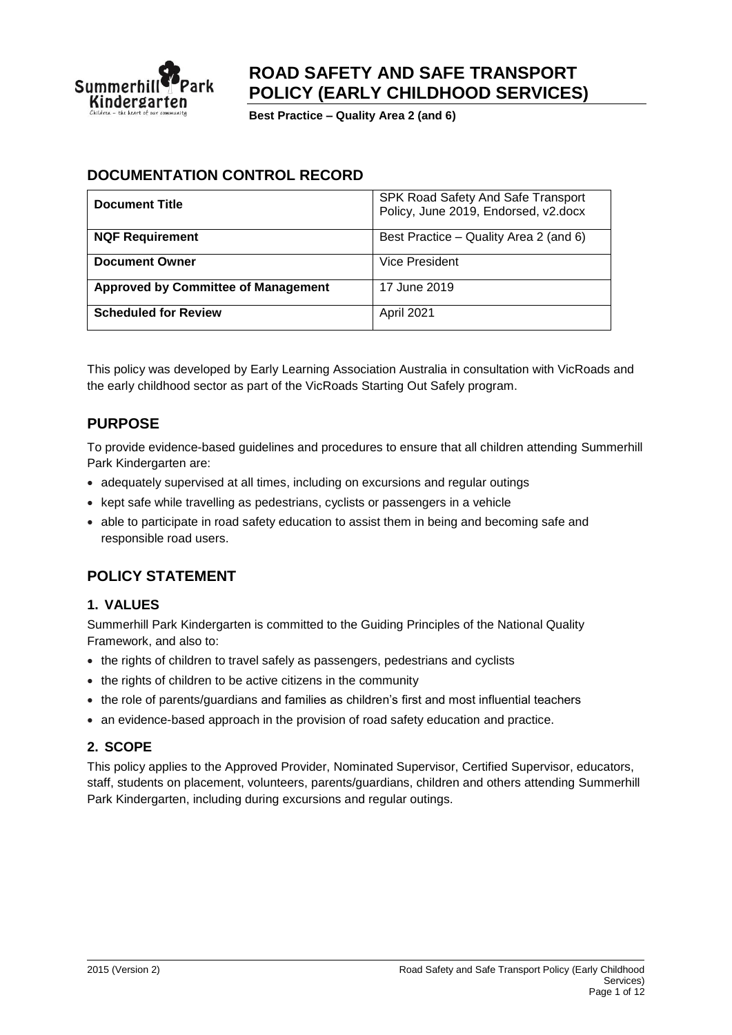

# **ROAD SAFETY AND SAFE TRANSPORT POLICY (EARLY CHILDHOOD SERVICES)**

**Best Practice – Quality Area 2 (and 6)**

### **DOCUMENTATION CONTROL RECORD**

| <b>Document Title</b>                      | SPK Road Safety And Safe Transport<br>Policy, June 2019, Endorsed, v2.docx |
|--------------------------------------------|----------------------------------------------------------------------------|
| <b>NQF Requirement</b>                     | Best Practice – Quality Area 2 (and 6)                                     |
| <b>Document Owner</b>                      | Vice President                                                             |
| <b>Approved by Committee of Management</b> | 17 June 2019                                                               |
| <b>Scheduled for Review</b>                | April 2021                                                                 |

This policy was developed by Early Learning Association Australia in consultation with VicRoads and the early childhood sector as part of the VicRoads Starting Out Safely program.

### **PURPOSE**

To provide evidence-based guidelines and procedures to ensure that all children attending Summerhill Park Kindergarten are:

- adequately supervised at all times, including on excursions and regular outings
- kept safe while travelling as pedestrians, cyclists or passengers in a vehicle
- able to participate in road safety education to assist them in being and becoming safe and responsible road users.

### **POLICY STATEMENT**

#### **1. VALUES**

Summerhill Park Kindergarten is committed to the Guiding Principles of the National Quality Framework, and also to:

- the rights of children to travel safely as passengers, pedestrians and cyclists
- the rights of children to be active citizens in the community
- the role of parents/guardians and families as children's first and most influential teachers
- an evidence-based approach in the provision of road safety education and practice.

#### **2. SCOPE**

This policy applies to the Approved Provider, Nominated Supervisor, Certified Supervisor, educators, staff, students on placement, volunteers, parents/guardians, children and others attending Summerhill Park Kindergarten, including during excursions and regular outings.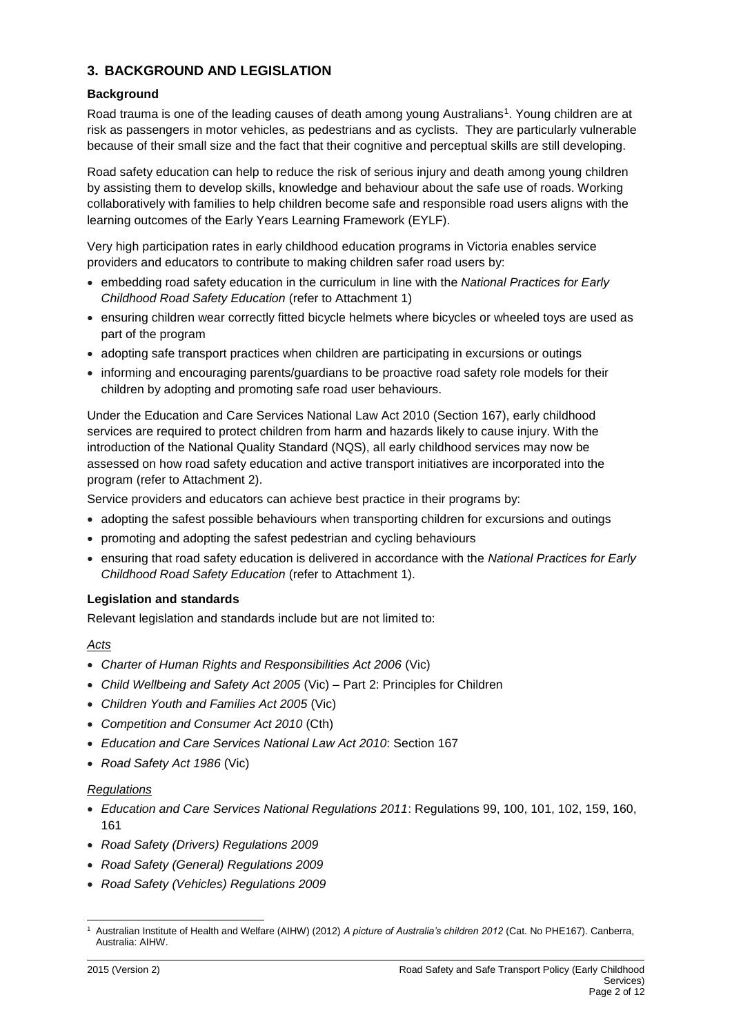### **3. BACKGROUND AND LEGISLATION**

#### **Background**

Road trauma is one of the leading causes of death among young Australians<sup>1</sup>. Young children are at risk as passengers in motor vehicles, as pedestrians and as cyclists. They are particularly vulnerable because of their small size and the fact that their cognitive and perceptual skills are still developing.

Road safety education can help to reduce the risk of serious injury and death among young children by assisting them to develop skills, knowledge and behaviour about the safe use of roads. Working collaboratively with families to help children become safe and responsible road users aligns with the learning outcomes of the Early Years Learning Framework (EYLF).

Very high participation rates in early childhood education programs in Victoria enables service providers and educators to contribute to making children safer road users by:

- embedding road safety education in the curriculum in line with the *National Practices for Early Childhood Road Safety Education* (refer to Attachment 1)
- ensuring children wear correctly fitted bicycle helmets where bicycles or wheeled toys are used as part of the program
- adopting safe transport practices when children are participating in excursions or outings
- informing and encouraging parents/guardians to be proactive road safety role models for their children by adopting and promoting safe road user behaviours.

Under the Education and Care Services National Law Act 2010 (Section 167), early childhood services are required to protect children from harm and hazards likely to cause injury. With the introduction of the National Quality Standard (NQS), all early childhood services may now be assessed on how road safety education and active transport initiatives are incorporated into the program (refer to Attachment 2).

Service providers and educators can achieve best practice in their programs by:

- adopting the safest possible behaviours when transporting children for excursions and outings
- promoting and adopting the safest pedestrian and cycling behaviours
- ensuring that road safety education is delivered in accordance with the *National Practices for Early Childhood Road Safety Education* (refer to Attachment 1).

#### **Legislation and standards**

Relevant legislation and standards include but are not limited to:

#### *Acts*

- *Charter of Human Rights and Responsibilities Act 2006* (Vic)
- *Child Wellbeing and Safety Act 2005* (Vic) Part 2: Principles for Children
- *Children Youth and Families Act 2005* (Vic)
- *Competition and Consumer Act 2010* (Cth)
- *Education and Care Services National Law Act 2010*: Section 167
- *Road Safety Act 1986* (Vic)

#### *Regulations*

- *Education and Care Services National Regulations 2011*: Regulations 99, 100, 101, 102, 159, 160, 161
- *Road Safety (Drivers) Regulations 2009*
- *Road Safety (General) Regulations 2009*
- *Road Safety (Vehicles) Regulations 2009*

 $\overline{a}$ <sup>1</sup> Australian Institute of Health and Welfare (AIHW) (2012) *A picture of Australia's children 2012* (Cat. No PHE167). Canberra, Australia: AIHW.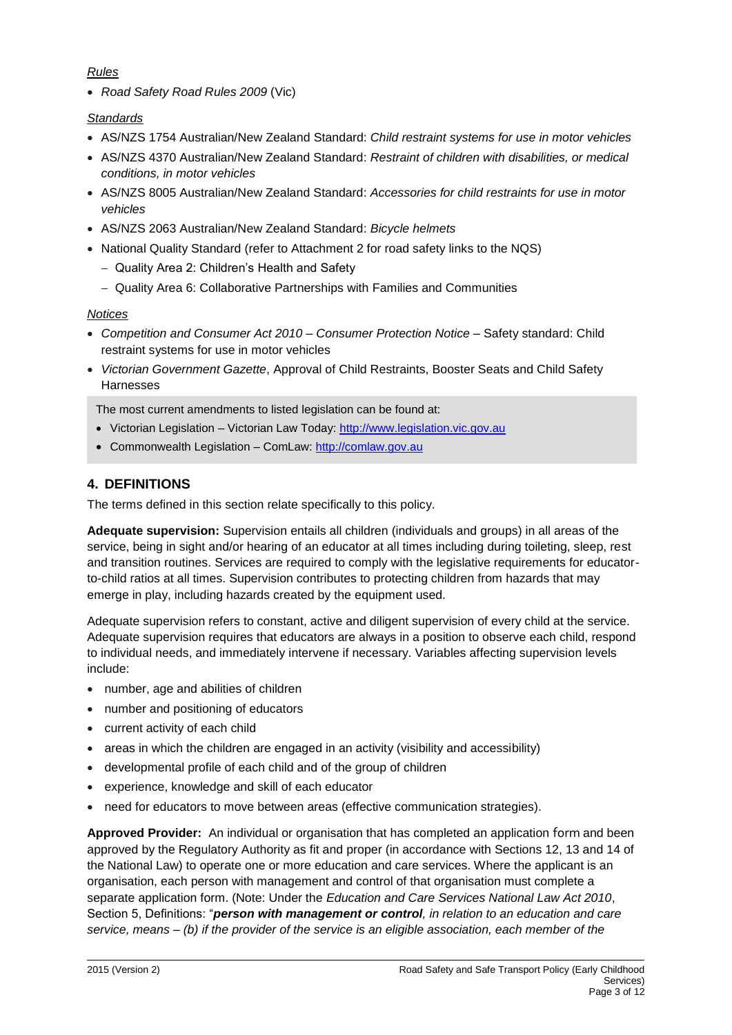#### *Rules*

• *Road Safety Road Rules 2009* (Vic)

#### *Standards*

- AS/NZS 1754 Australian/New Zealand Standard: *Child restraint systems for use in motor vehicles*
- AS/NZS 4370 Australian/New Zealand Standard: *Restraint of children with disabilities, or medical conditions, in motor vehicles*
- AS/NZS 8005 Australian/New Zealand Standard: *Accessories for child restraints for use in motor vehicles*
- AS/NZS 2063 Australian/New Zealand Standard: *Bicycle helmets*
- National Quality Standard (refer to Attachment 2 for road safety links to the NQS)
	- − Quality Area 2: Children's Health and Safety
	- − Quality Area 6: Collaborative Partnerships with Families and Communities

### *Notices*

- *Competition and Consumer Act 2010 – Consumer Protection Notice* Safety standard: Child restraint systems for use in motor vehicles
- *Victorian Government Gazette*, Approval of Child Restraints, Booster Seats and Child Safety Harnesses

The most current amendments to listed legislation can be found at:

- Victorian Legislation Victorian Law Today: [http://www.legislation.vic.gov.au](http://www.legislation.vic.gov.au/)
- Commonwealth Legislation ComLaw: [http://comlaw.gov.au](http://comlaw.gov.au/)

## **4. DEFINITIONS**

The terms defined in this section relate specifically to this policy.

**Adequate supervision:** Supervision entails all children (individuals and groups) in all areas of the service, being in sight and/or hearing of an educator at all times including during toileting, sleep, rest and transition routines. Services are required to comply with the legislative requirements for educatorto-child ratios at all times. Supervision contributes to protecting children from hazards that may emerge in play, including hazards created by the equipment used.

Adequate supervision refers to constant, active and diligent supervision of every child at the service. Adequate supervision requires that educators are always in a position to observe each child, respond to individual needs, and immediately intervene if necessary. Variables affecting supervision levels include:

- number, age and abilities of children
- number and positioning of educators
- current activity of each child
- areas in which the children are engaged in an activity (visibility and accessibility)
- developmental profile of each child and of the group of children
- experience, knowledge and skill of each educator
- need for educators to move between areas (effective communication strategies).

**Approved Provider:** An individual or organisation that has completed an application form and been approved by the Regulatory Authority as fit and proper (in accordance with Sections 12, 13 and 14 of the National Law) to operate one or more education and care services. Where the applicant is an organisation, each person with management and control of that organisation must complete a separate application form. (Note: Under the *Education and Care Services National Law Act 2010*, Section 5, Definitions: "*person with management or control, in relation to an education and care service, means – (b) if the provider of the service is an eligible association, each member of the*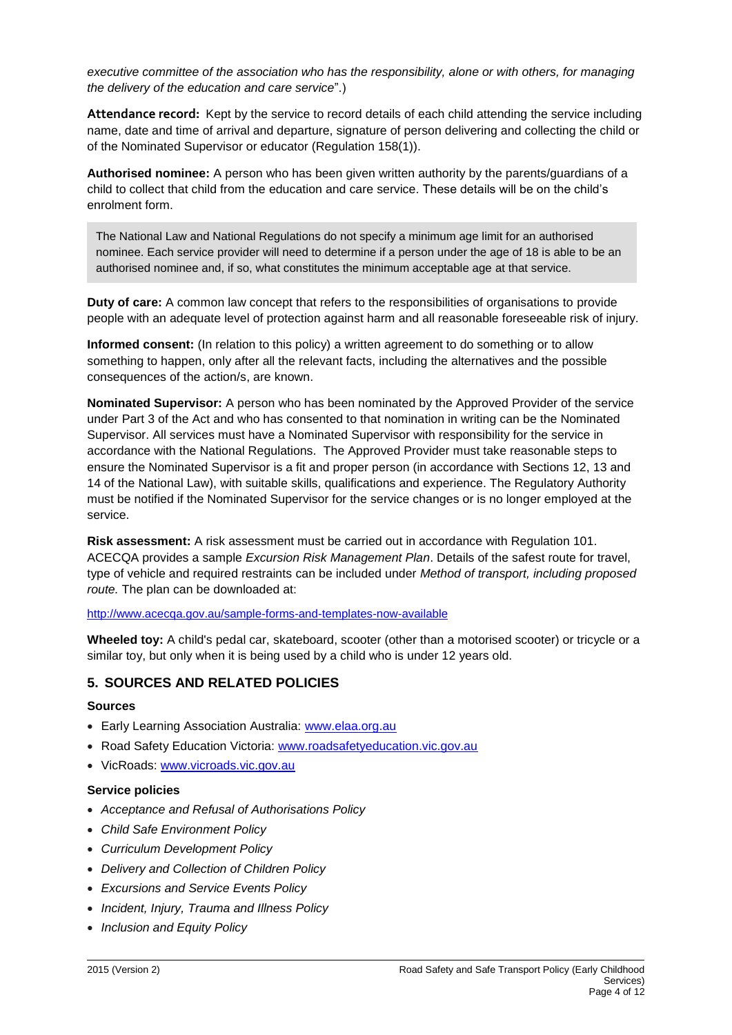*executive committee of the association who has the responsibility, alone or with others, for managing the delivery of the education and care service*".)

**Attendance record:** Kept by the service to record details of each child attending the service including name, date and time of arrival and departure, signature of person delivering and collecting the child or of the Nominated Supervisor or educator (Regulation 158(1)).

**Authorised nominee:** A person who has been given written authority by the parents/guardians of a child to collect that child from the education and care service. These details will be on the child's enrolment form.

The National Law and National Regulations do not specify a minimum age limit for an authorised nominee. Each service provider will need to determine if a person under the age of 18 is able to be an authorised nominee and, if so, what constitutes the minimum acceptable age at that service.

**Duty of care:** A common law concept that refers to the responsibilities of organisations to provide people with an adequate level of protection against harm and all reasonable foreseeable risk of injury.

**Informed consent:** (In relation to this policy) a written agreement to do something or to allow something to happen, only after all the relevant facts, including the alternatives and the possible consequences of the action/s, are known.

**Nominated Supervisor:** A person who has been nominated by the Approved Provider of the service under Part 3 of the Act and who has consented to that nomination in writing can be the Nominated Supervisor. All services must have a Nominated Supervisor with responsibility for the service in accordance with the National Regulations. The Approved Provider must take reasonable steps to ensure the Nominated Supervisor is a fit and proper person (in accordance with Sections 12, 13 and 14 of the National Law), with suitable skills, qualifications and experience. The Regulatory Authority must be notified if the Nominated Supervisor for the service changes or is no longer employed at the service.

**Risk assessment:** A risk assessment must be carried out in accordance with Regulation 101. ACECQA provides a sample *Excursion Risk Management Plan*. Details of the safest route for travel, type of vehicle and required restraints can be included under *Method of transport, including proposed route.* The plan can be downloaded at:

<http://www.acecqa.gov.au/sample-forms-and-templates-now-available>

**Wheeled toy:** A child's pedal car, skateboard, scooter (other than a motorised scooter) or tricycle or a similar toy, but only when it is being used by a child who is under 12 years old.

### **5. SOURCES AND RELATED POLICIES**

#### **Sources**

- Early Learning Association Australia: [www.elaa.org.au](http://www.elaa.org.au/)
- Road Safety Education Victoria: [www.roadsafetyeducation.vic.gov.au](http://www.roadsafetyeducation.vic.gov.au/)
- VicRoads: [www.vicroads.vic.gov.au](http://www.vicroads.vic.gov.au/)

#### **Service policies**

- *Acceptance and Refusal of Authorisations Policy*
- *Child Safe Environment Policy*
- *Curriculum Development Policy*
- *Delivery and Collection of Children Policy*
- *Excursions and Service Events Policy*
- *Incident, Injury, Trauma and Illness Policy*
- *Inclusion and Equity Policy*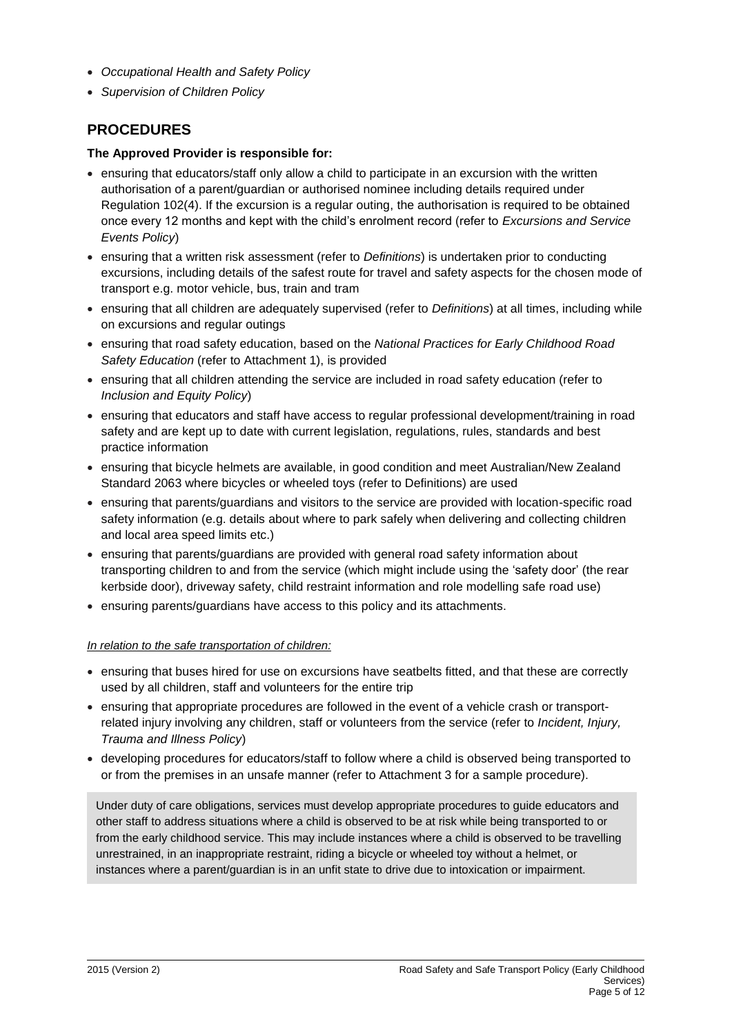- *Occupational Health and Safety Policy*
- *Supervision of Children Policy*

### **PROCEDURES**

#### **The Approved Provider is responsible for:**

- ensuring that educators/staff only allow a child to participate in an excursion with the written authorisation of a parent/guardian or authorised nominee including details required under Regulation 102(4). If the excursion is a regular outing, the authorisation is required to be obtained once every 12 months and kept with the child's enrolment record (refer to *Excursions and Service Events Policy*)
- ensuring that a written risk assessment (refer to *Definitions*) is undertaken prior to conducting excursions, including details of the safest route for travel and safety aspects for the chosen mode of transport e.g. motor vehicle, bus, train and tram
- ensuring that all children are adequately supervised (refer to *Definitions*) at all times, including while on excursions and regular outings
- ensuring that road safety education, based on the *National Practices for Early Childhood Road Safety Education* (refer to Attachment 1), is provided
- ensuring that all children attending the service are included in road safety education (refer to *Inclusion and Equity Policy*)
- ensuring that educators and staff have access to regular professional development/training in road safety and are kept up to date with current legislation, regulations, rules, standards and best practice information
- ensuring that bicycle helmets are available, in good condition and meet Australian/New Zealand Standard 2063 where bicycles or wheeled toys (refer to Definitions) are used
- ensuring that parents/guardians and visitors to the service are provided with location-specific road safety information (e.g. details about where to park safely when delivering and collecting children and local area speed limits etc.)
- ensuring that parents/guardians are provided with general road safety information about transporting children to and from the service (which might include using the 'safety door' (the rear kerbside door), driveway safety, child restraint information and role modelling safe road use)
- ensuring parents/guardians have access to this policy and its attachments.

#### *In relation to the safe transportation of children:*

- ensuring that buses hired for use on excursions have seatbelts fitted, and that these are correctly used by all children, staff and volunteers for the entire trip
- ensuring that appropriate procedures are followed in the event of a vehicle crash or transportrelated injury involving any children, staff or volunteers from the service (refer to *Incident, Injury, Trauma and Illness Policy*)
- developing procedures for educators/staff to follow where a child is observed being transported to or from the premises in an unsafe manner (refer to Attachment 3 for a sample procedure).

Under duty of care obligations, services must develop appropriate procedures to guide educators and other staff to address situations where a child is observed to be at risk while being transported to or from the early childhood service. This may include instances where a child is observed to be travelling unrestrained, in an inappropriate restraint, riding a bicycle or wheeled toy without a helmet, or instances where a parent/guardian is in an unfit state to drive due to intoxication or impairment.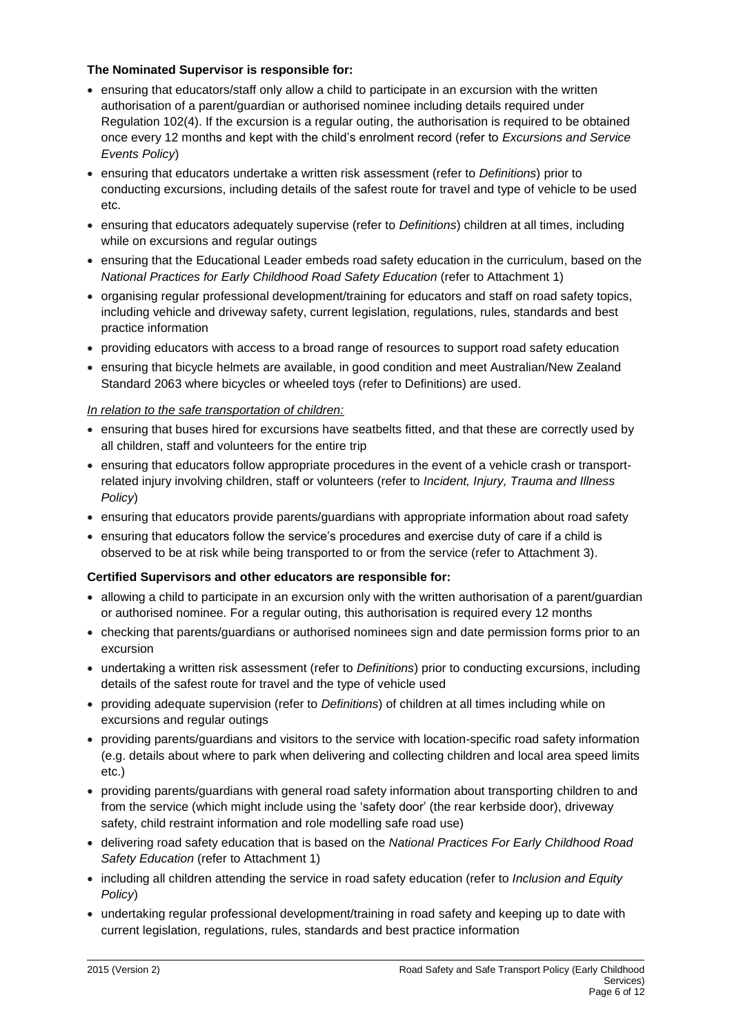#### **The Nominated Supervisor is responsible for:**

- ensuring that educators/staff only allow a child to participate in an excursion with the written authorisation of a parent/guardian or authorised nominee including details required under Regulation 102(4). If the excursion is a regular outing, the authorisation is required to be obtained once every 12 months and kept with the child's enrolment record (refer to *Excursions and Service Events Policy*)
- ensuring that educators undertake a written risk assessment (refer to *Definitions*) prior to conducting excursions, including details of the safest route for travel and type of vehicle to be used etc.
- ensuring that educators adequately supervise (refer to *Definitions*) children at all times, including while on excursions and regular outings
- ensuring that the Educational Leader embeds road safety education in the curriculum, based on the *National Practices for Early Childhood Road Safety Education* (refer to Attachment 1)
- organising regular professional development/training for educators and staff on road safety topics, including vehicle and driveway safety, current legislation, regulations, rules, standards and best practice information
- providing educators with access to a broad range of resources to support road safety education
- ensuring that bicycle helmets are available, in good condition and meet Australian/New Zealand Standard 2063 where bicycles or wheeled toys (refer to Definitions) are used.

#### *In relation to the safe transportation of children:*

- ensuring that buses hired for excursions have seatbelts fitted, and that these are correctly used by all children, staff and volunteers for the entire trip
- ensuring that educators follow appropriate procedures in the event of a vehicle crash or transportrelated injury involving children, staff or volunteers (refer to *Incident, Injury, Trauma and Illness Policy*)
- ensuring that educators provide parents/guardians with appropriate information about road safety
- ensuring that educators follow the service's procedures and exercise duty of care if a child is observed to be at risk while being transported to or from the service (refer to Attachment 3).

#### **Certified Supervisors and other educators are responsible for:**

- allowing a child to participate in an excursion only with the written authorisation of a parent/guardian or authorised nominee. For a regular outing, this authorisation is required every 12 months
- checking that parents/guardians or authorised nominees sign and date permission forms prior to an excursion
- undertaking a written risk assessment (refer to *Definitions*) prior to conducting excursions, including details of the safest route for travel and the type of vehicle used
- providing adequate supervision (refer to *Definitions*) of children at all times including while on excursions and regular outings
- providing parents/guardians and visitors to the service with location-specific road safety information (e.g. details about where to park when delivering and collecting children and local area speed limits etc.)
- providing parents/guardians with general road safety information about transporting children to and from the service (which might include using the 'safety door' (the rear kerbside door), driveway safety, child restraint information and role modelling safe road use)
- delivering road safety education that is based on the *National Practices For Early Childhood Road Safety Education* (refer to Attachment 1)
- including all children attending the service in road safety education (refer to *Inclusion and Equity Policy*)
- undertaking regular professional development/training in road safety and keeping up to date with current legislation, regulations, rules, standards and best practice information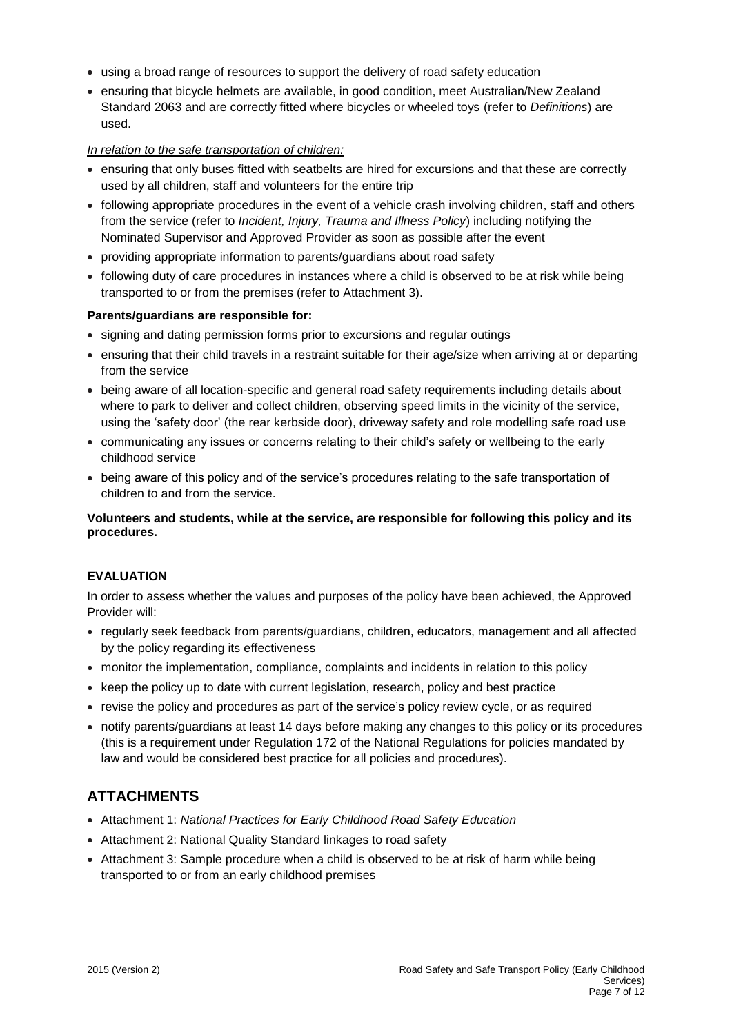- using a broad range of resources to support the delivery of road safety education
- ensuring that bicycle helmets are available, in good condition, meet Australian/New Zealand Standard 2063 and are correctly fitted where bicycles or wheeled toys (refer to *Definitions*) are used.

#### *In relation to the safe transportation of children:*

- ensuring that only buses fitted with seatbelts are hired for excursions and that these are correctly used by all children, staff and volunteers for the entire trip
- following appropriate procedures in the event of a vehicle crash involving children, staff and others from the service (refer to *Incident, Injury, Trauma and Illness Policy*) including notifying the Nominated Supervisor and Approved Provider as soon as possible after the event
- providing appropriate information to parents/guardians about road safety
- following duty of care procedures in instances where a child is observed to be at risk while being transported to or from the premises (refer to Attachment 3).

#### **Parents/guardians are responsible for:**

- signing and dating permission forms prior to excursions and regular outings
- ensuring that their child travels in a restraint suitable for their age/size when arriving at or departing from the service
- being aware of all location-specific and general road safety requirements including details about where to park to deliver and collect children, observing speed limits in the vicinity of the service, using the 'safety door' (the rear kerbside door), driveway safety and role modelling safe road use
- communicating any issues or concerns relating to their child's safety or wellbeing to the early childhood service
- being aware of this policy and of the service's procedures relating to the safe transportation of children to and from the service.

#### **Volunteers and students, while at the service, are responsible for following this policy and its procedures.**

#### **EVALUATION**

In order to assess whether the values and purposes of the policy have been achieved, the Approved Provider will:

- regularly seek feedback from parents/guardians, children, educators, management and all affected by the policy regarding its effectiveness
- monitor the implementation, compliance, complaints and incidents in relation to this policy
- keep the policy up to date with current legislation, research, policy and best practice
- revise the policy and procedures as part of the service's policy review cycle, or as required
- notify parents/guardians at least 14 days before making any changes to this policy or its procedures (this is a requirement under Regulation 172 of the National Regulations for policies mandated by law and would be considered best practice for all policies and procedures).

## **ATTACHMENTS**

- Attachment 1: *National Practices for Early Childhood Road Safety Education*
- Attachment 2: National Quality Standard linkages to road safety
- Attachment 3: Sample procedure when a child is observed to be at risk of harm while being transported to or from an early childhood premises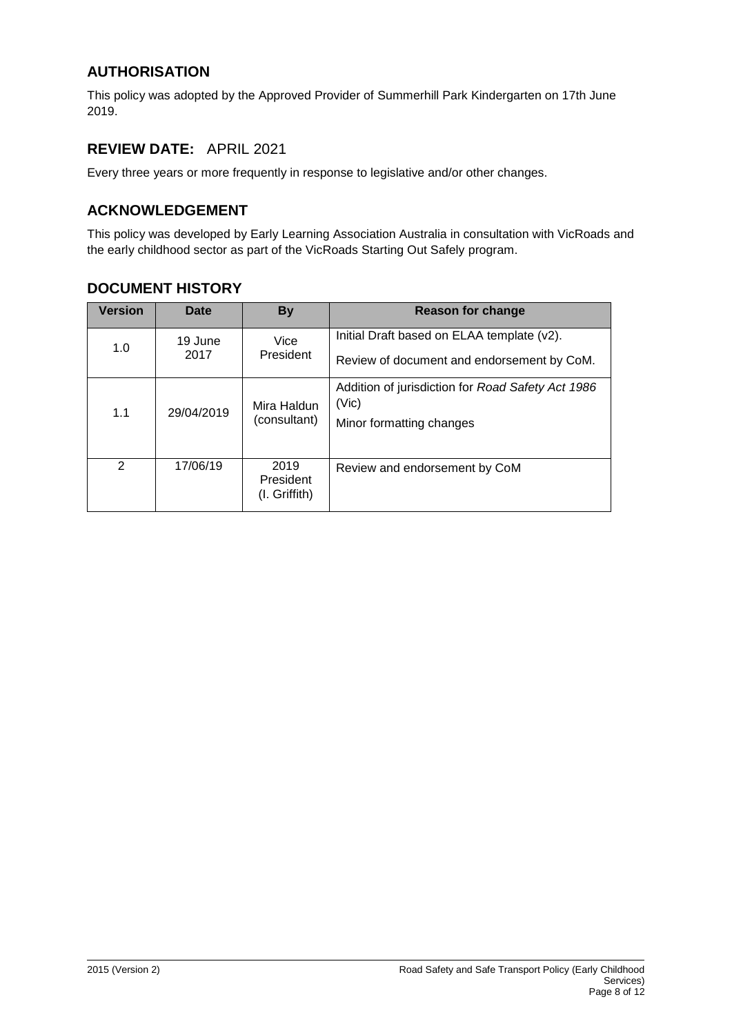## **AUTHORISATION**

This policy was adopted by the Approved Provider of Summerhill Park Kindergarten on 17th June 2019.

## **REVIEW DATE:** APRIL 2021

Every three years or more frequently in response to legislative and/or other changes.

## **ACKNOWLEDGEMENT**

This policy was developed by Early Learning Association Australia in consultation with VicRoads and the early childhood sector as part of the VicRoads Starting Out Safely program.

## **DOCUMENT HISTORY**

| <b>Version</b> | Date            | <b>By</b>                            | Reason for change                                                                        |
|----------------|-----------------|--------------------------------------|------------------------------------------------------------------------------------------|
| 1.0            | 19 June<br>2017 | Vice<br>President                    | Initial Draft based on ELAA template (v2).<br>Review of document and endorsement by CoM. |
| 1.1            | 29/04/2019      | Mira Haldun<br>(consultant)          | Addition of jurisdiction for Road Safety Act 1986<br>(Vic)<br>Minor formatting changes   |
| $\mathcal{P}$  | 17/06/19        | 2019<br>President<br>$(I.$ Griffith) | Review and endorsement by CoM                                                            |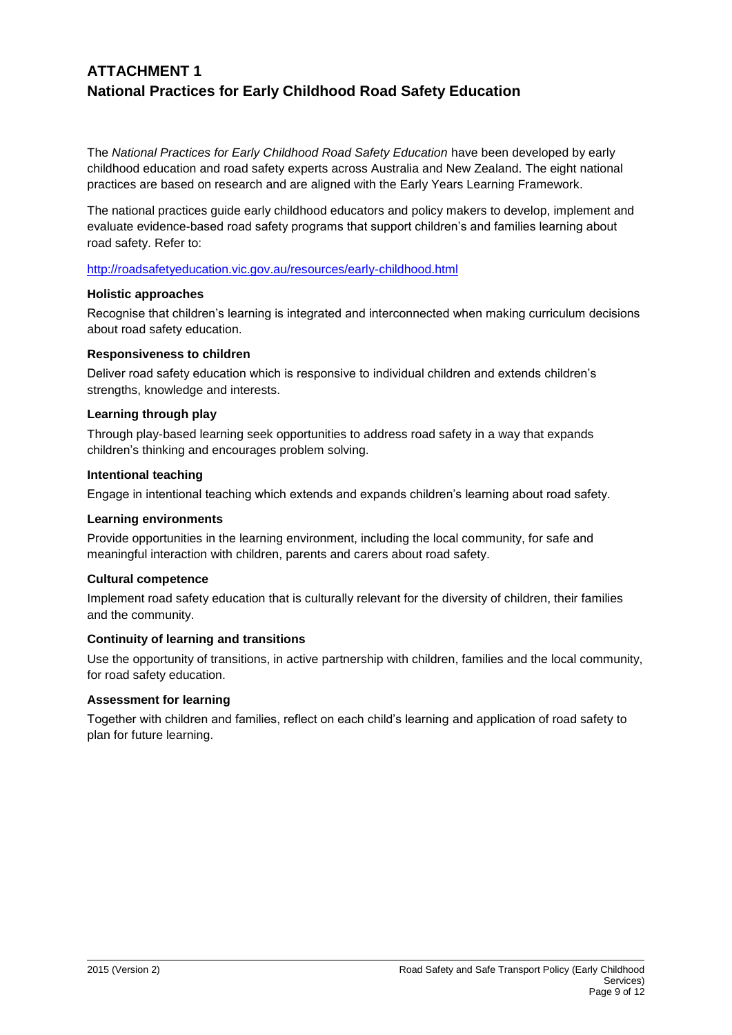## **ATTACHMENT 1 National Practices for Early Childhood Road Safety Education**

The *National Practices for Early Childhood Road Safety Education* have been developed by early childhood education and road safety experts across Australia and New Zealand. The eight national practices are based on research and are aligned with the Early Years Learning Framework.

The national practices guide early childhood educators and policy makers to develop, implement and evaluate evidence-based road safety programs that support children's and families learning about road safety. Refer to:

<http://roadsafetyeducation.vic.gov.au/resources/early-childhood.html>

#### **Holistic approaches**

Recognise that children's learning is integrated and interconnected when making curriculum decisions about road safety education.

#### **Responsiveness to children**

Deliver road safety education which is responsive to individual children and extends children's strengths, knowledge and interests.

#### **Learning through play**

Through play-based learning seek opportunities to address road safety in a way that expands children's thinking and encourages problem solving.

#### **Intentional teaching**

Engage in intentional teaching which extends and expands children's learning about road safety.

#### **Learning environments**

Provide opportunities in the learning environment, including the local community, for safe and meaningful interaction with children, parents and carers about road safety.

#### **Cultural competence**

Implement road safety education that is culturally relevant for the diversity of children, their families and the community.

#### **Continuity of learning and transitions**

Use the opportunity of transitions, in active partnership with children, families and the local community, for road safety education.

#### **Assessment for learning**

Together with children and families, reflect on each child's learning and application of road safety to plan for future learning.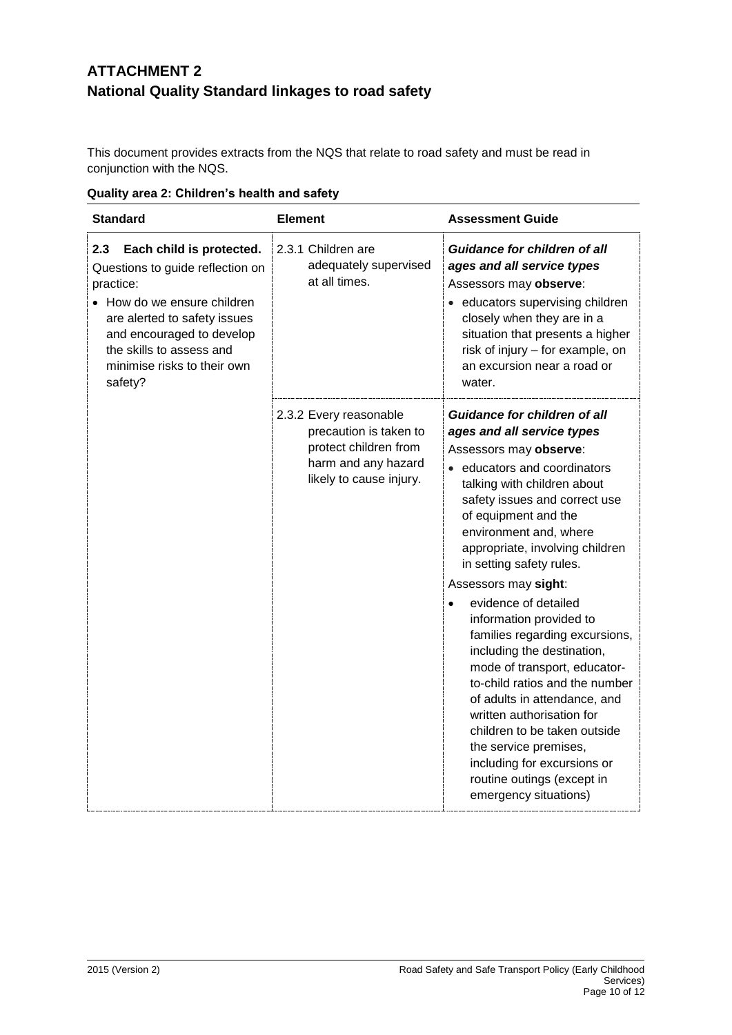# **ATTACHMENT 2 National Quality Standard linkages to road safety**

This document provides extracts from the NQS that relate to road safety and must be read in conjunction with the NQS.

| <b>Standard</b>                                                                                                                                                                                                                                    | <b>Element</b>                                                                                                              | <b>Assessment Guide</b>                                                                                                                                                                                                                                                                                                                                                                                                                                                                                                                                                                                                                                                                                                               |
|----------------------------------------------------------------------------------------------------------------------------------------------------------------------------------------------------------------------------------------------------|-----------------------------------------------------------------------------------------------------------------------------|---------------------------------------------------------------------------------------------------------------------------------------------------------------------------------------------------------------------------------------------------------------------------------------------------------------------------------------------------------------------------------------------------------------------------------------------------------------------------------------------------------------------------------------------------------------------------------------------------------------------------------------------------------------------------------------------------------------------------------------|
| 2.3<br>Each child is protected.<br>Questions to guide reflection on<br>practice:<br>• How do we ensure children<br>are alerted to safety issues<br>and encouraged to develop<br>the skills to assess and<br>minimise risks to their own<br>safety? | 2.3.1 Children are<br>adequately supervised<br>at all times.                                                                | <b>Guidance for children of all</b><br>ages and all service types<br>Assessors may observe:<br>· educators supervising children<br>closely when they are in a<br>situation that presents a higher<br>risk of injury - for example, on<br>an excursion near a road or<br>water.                                                                                                                                                                                                                                                                                                                                                                                                                                                        |
|                                                                                                                                                                                                                                                    | 2.3.2 Every reasonable<br>precaution is taken to<br>protect children from<br>harm and any hazard<br>likely to cause injury. | <b>Guidance for children of all</b><br>ages and all service types<br>Assessors may observe:<br>• educators and coordinators<br>talking with children about<br>safety issues and correct use<br>of equipment and the<br>environment and, where<br>appropriate, involving children<br>in setting safety rules.<br>Assessors may sight:<br>evidence of detailed<br>information provided to<br>families regarding excursions,<br>including the destination,<br>mode of transport, educator-<br>to-child ratios and the number<br>of adults in attendance, and<br>written authorisation for<br>children to be taken outside<br>the service premises,<br>including for excursions or<br>routine outings (except in<br>emergency situations) |

**Quality area 2: Children's health and safety**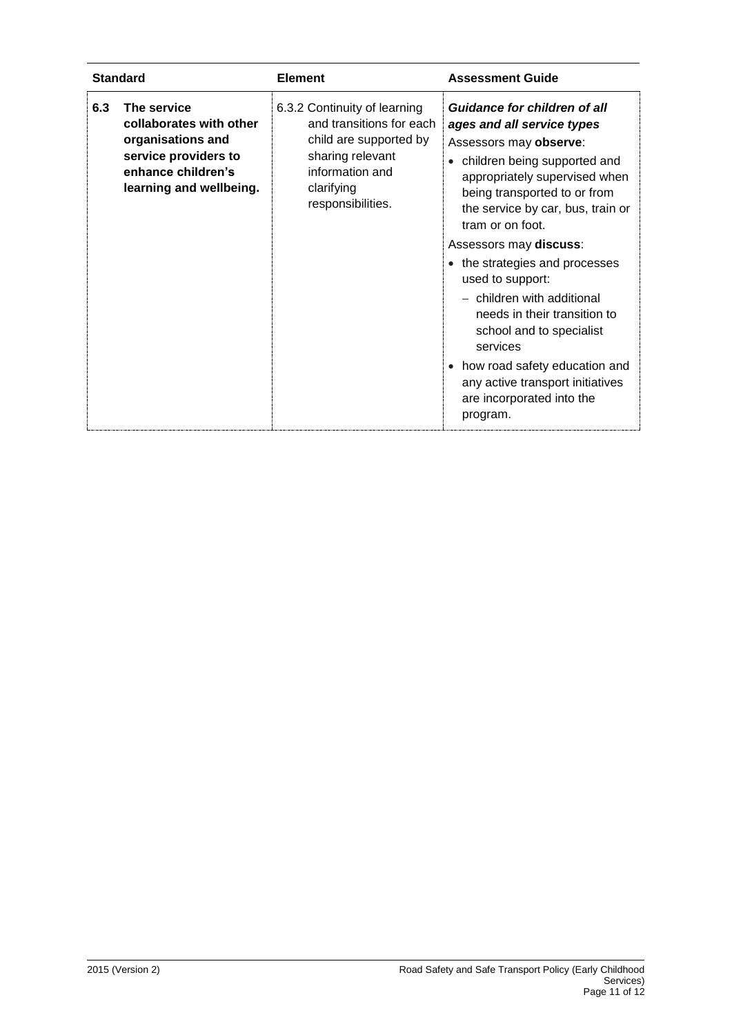| <b>Standard</b>                                                                                                                             | <b>Element</b>                                                                                                                                               | <b>Assessment Guide</b>                                                                                                                                                                                                                                                                                                                                                                                                                                                                                                                                           |
|---------------------------------------------------------------------------------------------------------------------------------------------|--------------------------------------------------------------------------------------------------------------------------------------------------------------|-------------------------------------------------------------------------------------------------------------------------------------------------------------------------------------------------------------------------------------------------------------------------------------------------------------------------------------------------------------------------------------------------------------------------------------------------------------------------------------------------------------------------------------------------------------------|
| The service<br>6.3<br>collaborates with other<br>organisations and<br>service providers to<br>enhance children's<br>learning and wellbeing. | 6.3.2 Continuity of learning<br>and transitions for each<br>child are supported by<br>sharing relevant<br>information and<br>clarifying<br>responsibilities. | Guidance for children of all<br>ages and all service types<br>Assessors may observe:<br>children being supported and<br>$\bullet$<br>appropriately supervised when<br>being transported to or from<br>the service by car, bus, train or<br>tram or on foot.<br>Assessors may discuss:<br>• the strategies and processes<br>used to support:<br>- children with additional<br>needs in their transition to<br>school and to specialist<br>services<br>• how road safety education and<br>any active transport initiatives<br>are incorporated into the<br>program. |